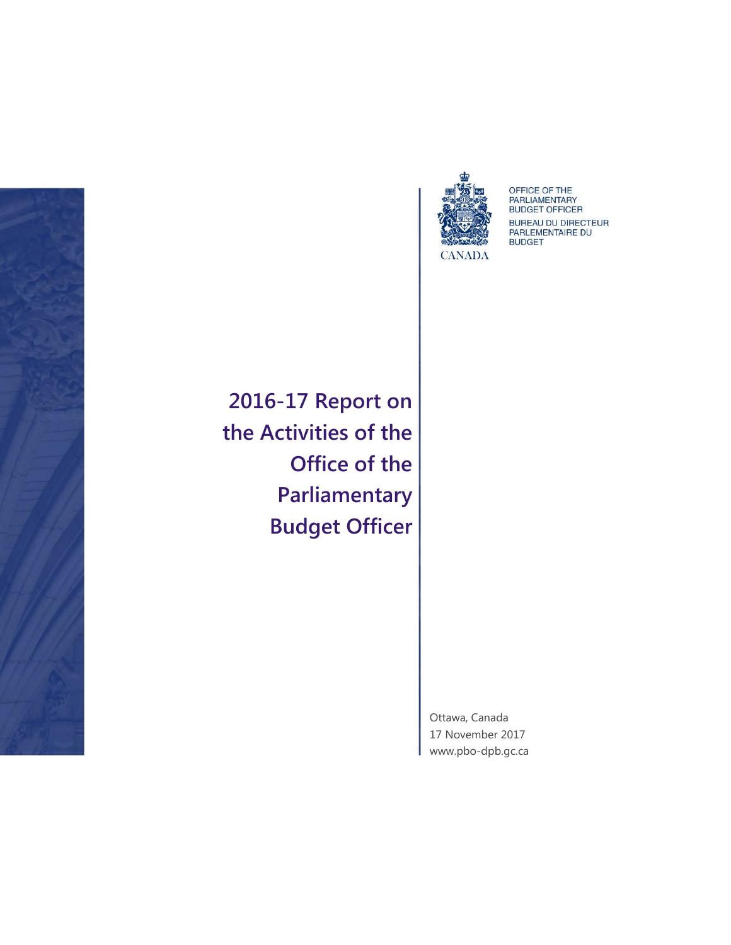



OFFICE OF THE<br>PARLIAMENTARY<br>BUDGET OFFICER **BUREAU DU DIRECTEUR<br>PARLEMENTAIRE DU BUDGET** 

**2016-17 Report on the Activities of the Office of the Parliamentary Budget Officer**

> Ottawa, Canada 17 November 2017 [www.pbo-dpb.gc.ca](http://www.pbo-dpb.gc.ca/)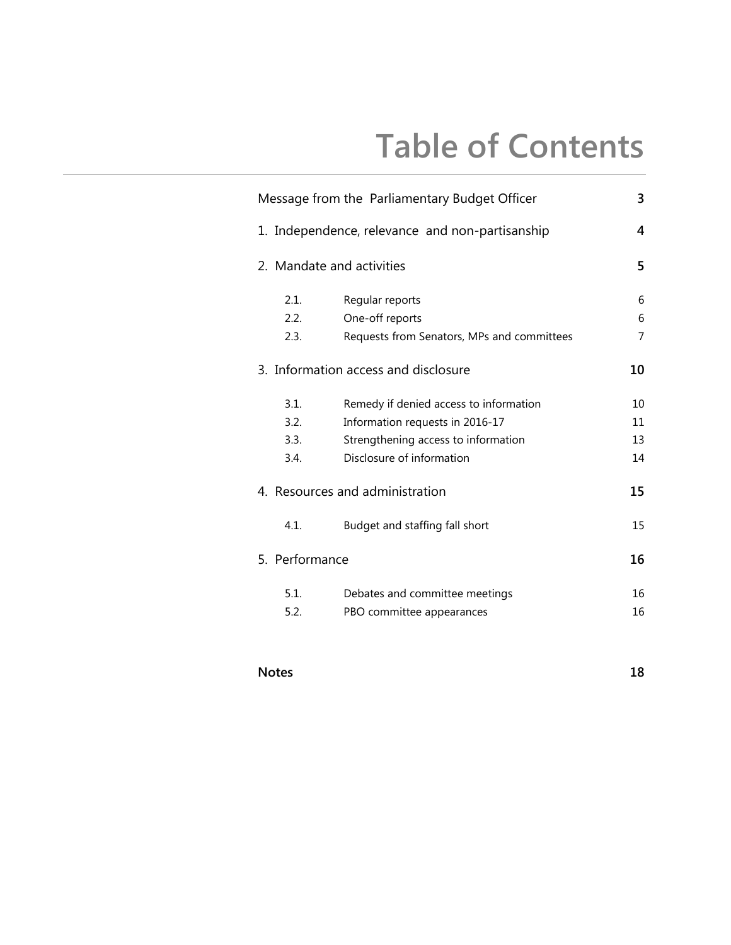## **Table of Contents**

| Message from the Parliamentary Budget Officer |                                                 |                                                                                                                                               |                      |
|-----------------------------------------------|-------------------------------------------------|-----------------------------------------------------------------------------------------------------------------------------------------------|----------------------|
|                                               | 1. Independence, relevance and non-partisanship |                                                                                                                                               |                      |
|                                               | 2. Mandate and activities                       |                                                                                                                                               |                      |
|                                               | 2.1.<br>2.2.<br>2.3.                            | Regular reports<br>One-off reports<br>Requests from Senators, MPs and committees                                                              | 6<br>6<br>7          |
|                                               | 3. Information access and disclosure            |                                                                                                                                               |                      |
|                                               | 3.1.<br>3.2.<br>3.3.<br>3.4.                    | Remedy if denied access to information<br>Information requests in 2016-17<br>Strengthening access to information<br>Disclosure of information | 10<br>11<br>13<br>14 |
|                                               | 4. Resources and administration                 |                                                                                                                                               |                      |
|                                               | 4.1.                                            | Budget and staffing fall short                                                                                                                | 15                   |
|                                               | 5. Performance                                  |                                                                                                                                               | 16                   |
|                                               | 5.1.<br>5.2.                                    | Debates and committee meetings<br>PBO committee appearances                                                                                   | 16<br>16             |

#### **Notes 18**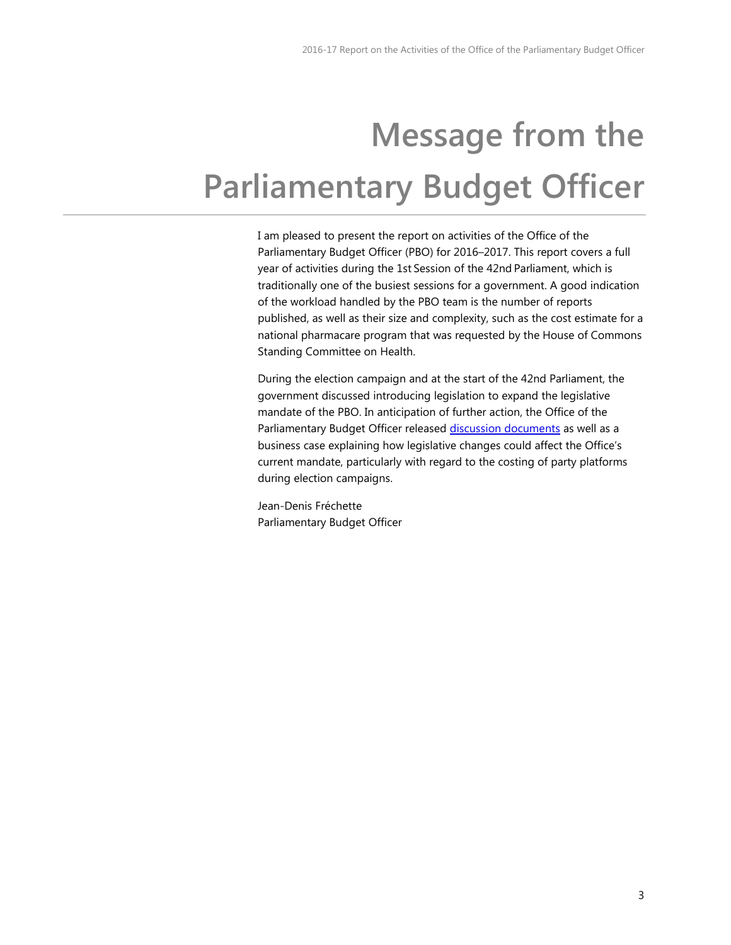# <span id="page-2-0"></span>**Message from the Parliamentary Budget Officer**

I am pleased to present the report on activities of the Office of the Parliamentary Budget Officer (PBO) for 2016–2017. This report covers a full year of activities during the 1st Session of the 42nd Parliament, which is traditionally one of the busiest sessions for a government. A good indication of the workload handled by the PBO team is the number of reports published, as well as their size and complexity, such as the cost estimate for a national pharmacare program that was requested by the House of Commons Standing Committee on Health.

During the election campaign and at the start of the 42nd Parliament, the government discussed introducing legislation to expand the legislative mandate of the PBO. In anticipation of further action, the Office of the Parliamentary Budget Officer released [discussion documents](http://www.pbo-dpb.gc.ca/en/blog/news/Draft_Mandate) as well as a business case explaining how legislative changes could affect the Office's current mandate, particularly with regard to the costing of party platforms during election campaigns.

Jean-Denis Fréchette Parliamentary Budget Officer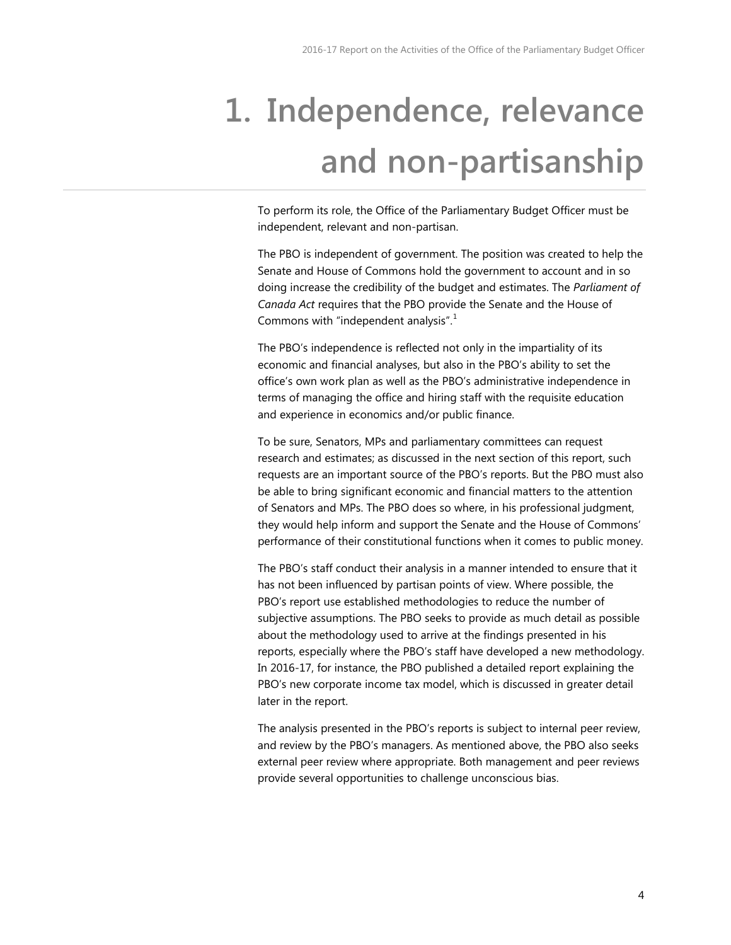# <span id="page-3-0"></span>**1. Independence, relevance and non-partisanship**

<span id="page-3-1"></span>To perform its role, the Office of the Parliamentary Budget Officer must be independent, relevant and non-partisan.

<span id="page-3-3"></span><span id="page-3-2"></span>The PBO is independent of government. The position was created to help the Senate and House of Commons hold the government to account and in so doing increase the credibility of the budget and estimates. The *Parliament of Canada Act* requires that the PBO provide the Senate and the House of Commons with "independent analysis".<sup>[1](#page-3-1)</sup>

The PBO's independence is reflected not only in the impartiality of its economic and financial analyses, but also in the PBO's ability to set the office's own work plan as well as the PBO's administrative independence in terms of managing the office and hiring staff with the requisite education and experience in economics and/or public finance.

To be sure, Senators, MPs and parliamentary committees can request research and estimates; as discussed in the next section of this report, such requests are an important source of the PBO's reports. But the PBO must also be able to bring significant economic and financial matters to the attention of Senators and MPs. The PBO does so where, in his professional judgment, they would help inform and support the Senate and the House of Commons' performance of their constitutional functions when it comes to public money.

The PBO's staff conduct their analysis in a manner intended to ensure that it has not been influenced by partisan points of view. Where possible, the PBO's report use established methodologies to reduce the number of subjective assumptions. The PBO seeks to provide as much detail as possible about the methodology used to arrive at the findings presented in his reports, especially where the PBO's staff have developed a new methodology. In 2016-17, for instance, the PBO published a detailed report explaining the PBO's new corporate income tax model, which is discussed in greater detail later in the report.

The analysis presented in the PBO's reports is subject to internal peer review, and review by the PBO's managers. As mentioned above, the PBO also seeks external peer review where appropriate. Both management and peer reviews provide several opportunities to challenge unconscious bias.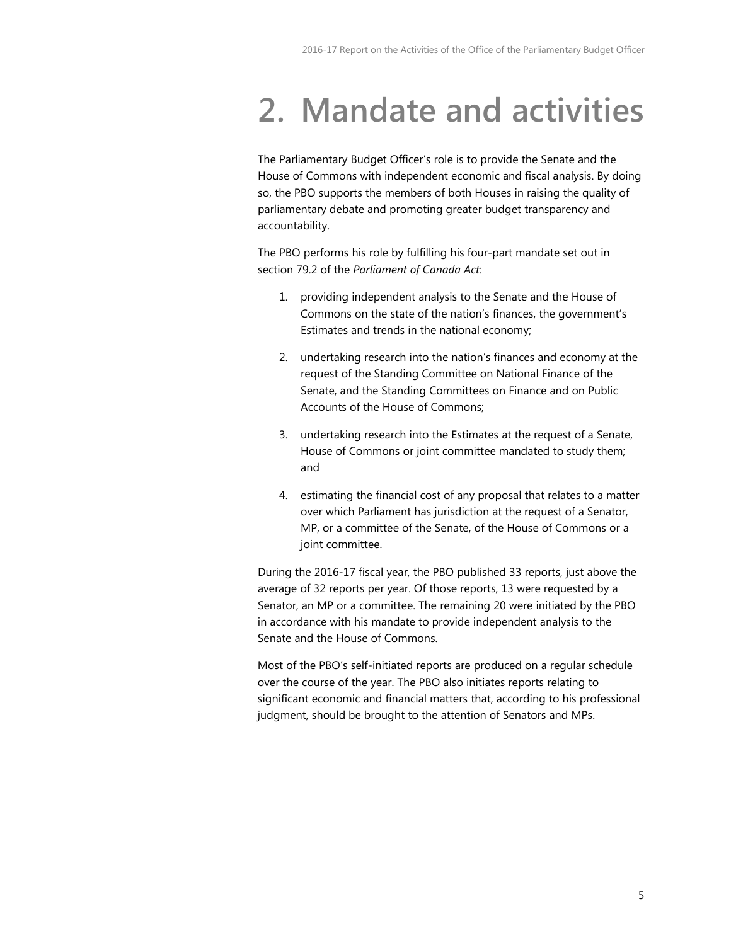### <span id="page-4-0"></span>**2. Mandate and activities**

The Parliamentary Budget Officer's role is to provide the Senate and the House of Commons with independent economic and fiscal analysis. By doing so, the PBO supports the members of both Houses in raising the quality of parliamentary debate and promoting greater budget transparency and accountability.

<span id="page-4-2"></span><span id="page-4-1"></span>The PBO performs his role by fulfilling his four-part mandate set out in section 79.2 of the *Parliament of Canada Act*:

- 1. providing independent analysis to the Senate and the House of Commons on the state of the nation's finances, the government's Estimates and trends in the national economy;
- 2. undertaking research into the nation's finances and economy at the request of the Standing Committee on National Finance of the Senate, and the Standing Committees on Finance and on Public Accounts of the House of Commons;
- <span id="page-4-3"></span>3. undertaking research into the Estimates at the request of a Senate, House of Commons or joint committee mandated to study them; and
- 4. estimating the financial cost of any proposal that relates to a matter over which Parliament has jurisdiction at the request of a Senator, MP, or a committee of the Senate, of the House of Commons or a joint committee.

<span id="page-4-5"></span><span id="page-4-4"></span>During the 2016-17 fiscal year, the PBO published 33 reports, just above the average of 32 reports per year. Of those reports, 13 were requested by a Senator, an MP or a committee. The remaining 20 were initiated by the PBO in accordance with his mandate to provide independent analysis to the Senate and the House of Commons.

Most of the PBO's self-initiated reports are produced on a regular schedule over the course of the year. The PBO also initiates reports relating to significant economic and financial matters that, according to his professional judgment, should be brought to the attention of Senators and MPs.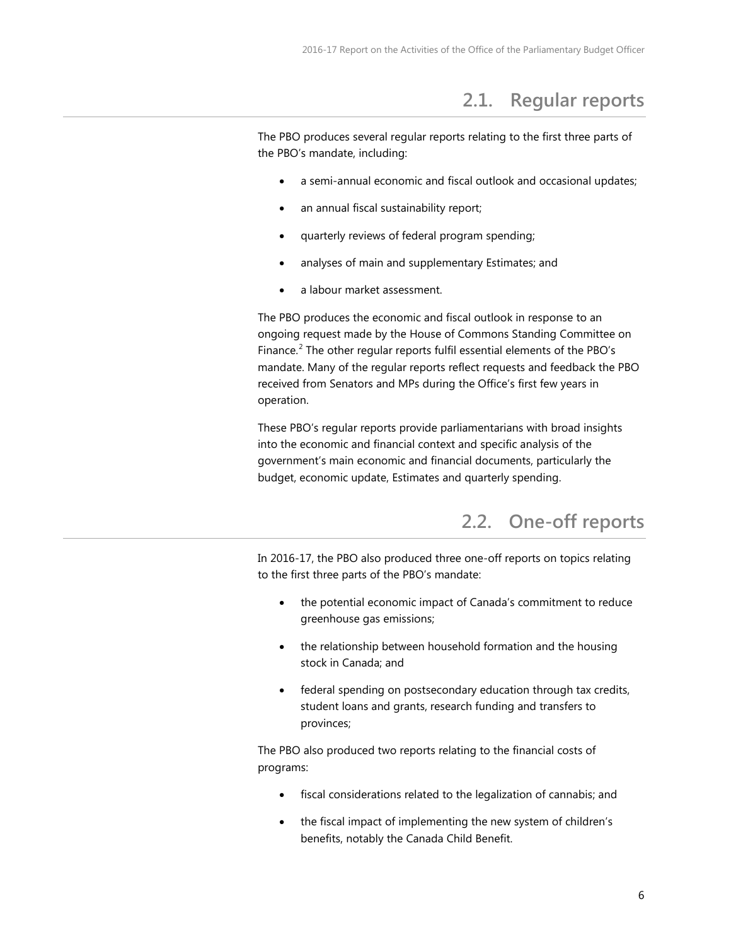### **2.1. Regular reports**

<span id="page-5-5"></span><span id="page-5-0"></span>The PBO produces several regular reports relating to the first three parts of the PBO's mandate, including:

- a semi-annual economic and fiscal outlook and occasional updates;
- an annual fiscal sustainability report;
- quarterly reviews of federal program spending;
- analyses of main and supplementary Estimates; and
- a labour market assessment.

The PBO produces the economic and fiscal outlook in response to an ongoing request made by the House of Commons Standing Committee on Finance.<sup>[2](#page-3-2)</sup> The other regular reports fulfil essential elements of the PBO's mandate. Many of the regular reports reflect requests and feedback the PBO received from Senators and MPs during the Office's first few years in operation.

These PBO's regular reports provide parliamentarians with broad insights into the economic and financial context and specific analysis of the government's main economic and financial documents, particularly the budget, economic update, Estimates and quarterly spending.

### **2.2. One-off reports**

<span id="page-5-1"></span>In 2016-17, the PBO also produced three one-off reports on topics relating to the first three parts of the PBO's mandate:

- the potential economic impact of Canada's commitment to reduce greenhouse gas emissions;
- the relationship between household formation and the housing stock in Canada; and
- federal spending on postsecondary education through tax credits, student loans and grants, research funding and transfers to provinces;

<span id="page-5-4"></span><span id="page-5-3"></span><span id="page-5-2"></span>The PBO also produced two reports relating to the financial costs of programs:

- fiscal considerations related to the legalization of cannabis; and
- the fiscal impact of implementing the new system of children's benefits, notably the Canada Child Benefit.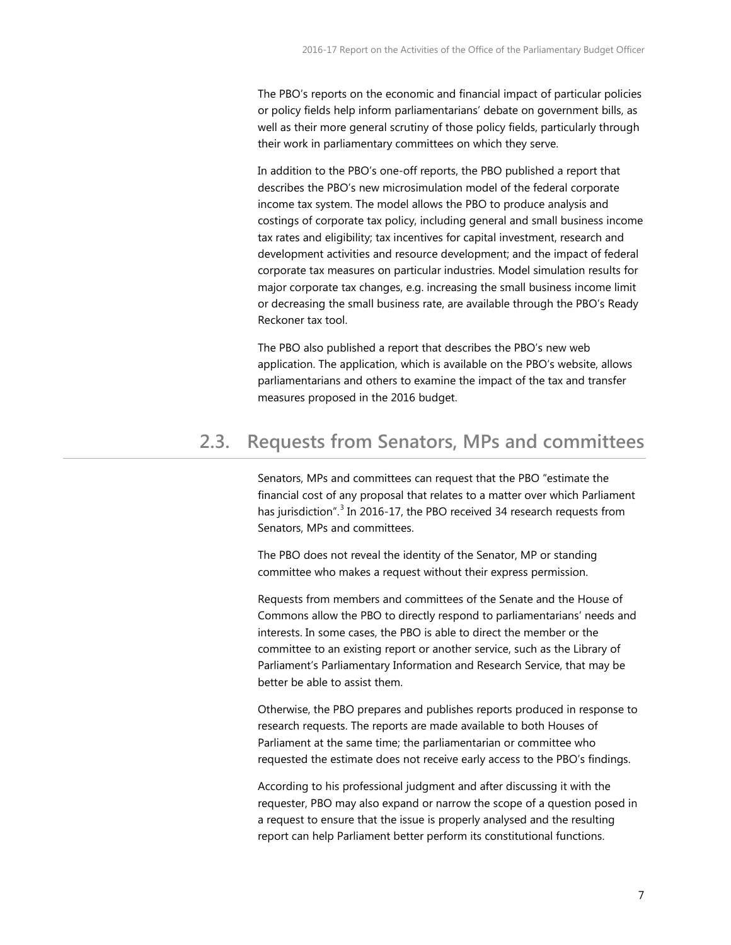The PBO's reports on the economic and financial impact of particular policies or policy fields help inform parliamentarians' debate on government bills, as well as their more general scrutiny of those policy fields, particularly through their work in parliamentary committees on which they serve.

<span id="page-6-2"></span><span id="page-6-1"></span>In addition to the PBO's one-off reports, the PBO published a report that describes the PBO's new microsimulation model of the federal corporate income tax system. The model allows the PBO to produce analysis and costings of corporate tax policy, including general and small business income tax rates and eligibility; tax incentives for capital investment, research and development activities and resource development; and the impact of federal corporate tax measures on particular industries. Model simulation results for major corporate tax changes, e.g. increasing the small business income limit or decreasing the small business rate, are available through the PBO's Ready Reckoner tax tool.

The PBO also published a report that describes the PBO's new web application. The application, which is available on the PBO's website, allows parliamentarians and others to examine the impact of the tax and transfer measures proposed in the 2016 budget.

#### <span id="page-6-6"></span><span id="page-6-5"></span><span id="page-6-4"></span><span id="page-6-3"></span><span id="page-6-0"></span>**2.3. Requests from Senators, MPs and committees**

Senators, MPs and committees can request that the PBO "estimate the financial cost of any proposal that relates to a matter over which Parliament has jurisdiction".<sup>[3](#page-3-3)</sup> In 2016-17, the PBO received 34 research requests from Senators, MPs and committees.

The PBO does not reveal the identity of the Senator, MP or standing committee who makes a request without their express permission.

Requests from members and committees of the Senate and the House of Commons allow the PBO to directly respond to parliamentarians' needs and interests. In some cases, the PBO is able to direct the member or the committee to an existing report or another service, such as the Library of Parliament's Parliamentary Information and Research Service, that may be better be able to assist them.

Otherwise, the PBO prepares and publishes reports produced in response to research requests. The reports are made available to both Houses of Parliament at the same time; the parliamentarian or committee who requested the estimate does not receive early access to the PBO's findings.

According to his professional judgment and after discussing it with the requester, PBO may also expand or narrow the scope of a question posed in a request to ensure that the issue is properly analysed and the resulting report can help Parliament better perform its constitutional functions.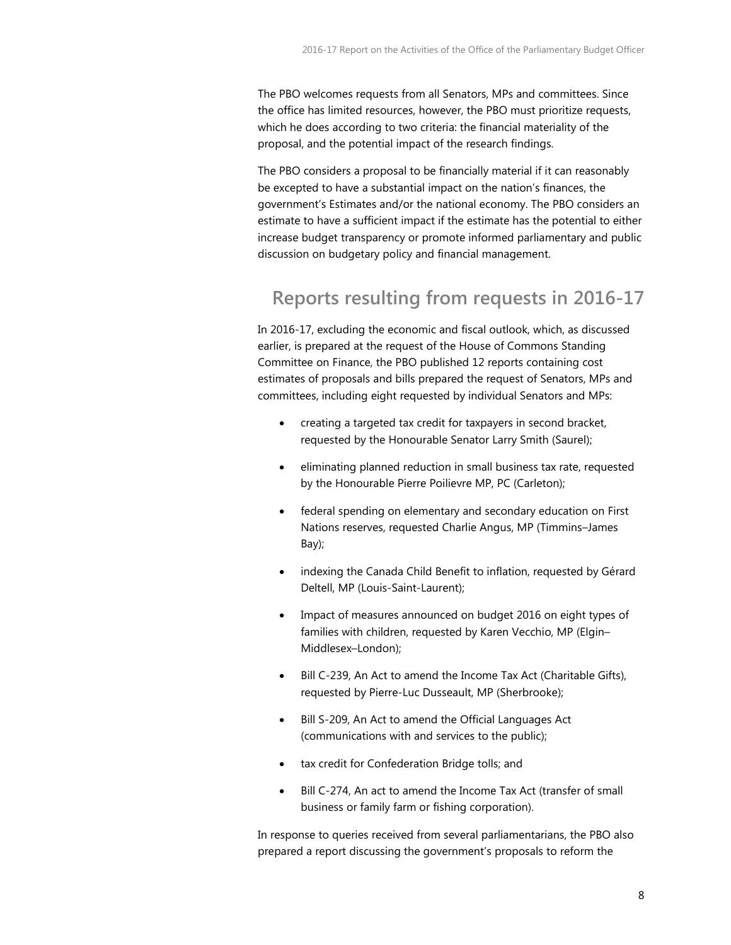The PBO welcomes requests from all Senators, MPs and committees. Since the office has limited resources, however, the PBO must prioritize requests, which he does according to two criteria: the financial materiality of the proposal, and the potential impact of the research findings.

The PBO considers a proposal to be financially material if it can reasonably be excepted to have a substantial impact on the nation's finances, the government's Estimates and/or the national economy. The PBO considers an estimate to have a sufficient impact if the estimate has the potential to either increase budget transparency or promote informed parliamentary and public discussion on budgetary policy and financial management.

#### **Reports resulting from requests in 2016-17**

In 2016-17, excluding the economic and fiscal outlook, which, as discussed earlier, is prepared at the request of the House of Commons Standing Committee on Finance, the PBO published 12 reports containing cost estimates of proposals and bills prepared the request of Senators, MPs and committees, including eight requested by individual Senators and MPs:

- creating a targeted tax credit for taxpayers in second bracket, requested by the Honourable Senator Larry Smith (Saurel);
- <span id="page-7-0"></span>• eliminating planned reduction in small business tax rate, requested by the Honourable Pierre Poilievre MP, PC (Carleton);
- federal spending on elementary and secondary education on First Nations reserves, requested Charlie Angus, MP (Timmins–James Bay);
- <span id="page-7-1"></span>indexing the Canada Child Benefit to inflation, requested by Gérard Deltell, MP (Louis-Saint-Laurent);
- Impact of measures announced on budget 2016 on eight types of families with children, requested by Karen Vecchio, MP (Elgin– Middlesex–London);
- Bill C-239, An Act to amend the Income Tax Act (Charitable Gifts), requested by Pierre-Luc Dusseault, MP (Sherbrooke);
- Bill S-209, An Act to amend the Official Languages Act (communications with and services to the public);
- tax credit for Confederation Bridge tolls; and
- Bill C-274, An act to amend the Income Tax Act (transfer of small business or family farm or fishing corporation).

In response to queries received from several parliamentarians, the PBO also prepared a report discussing the government's proposals to reform the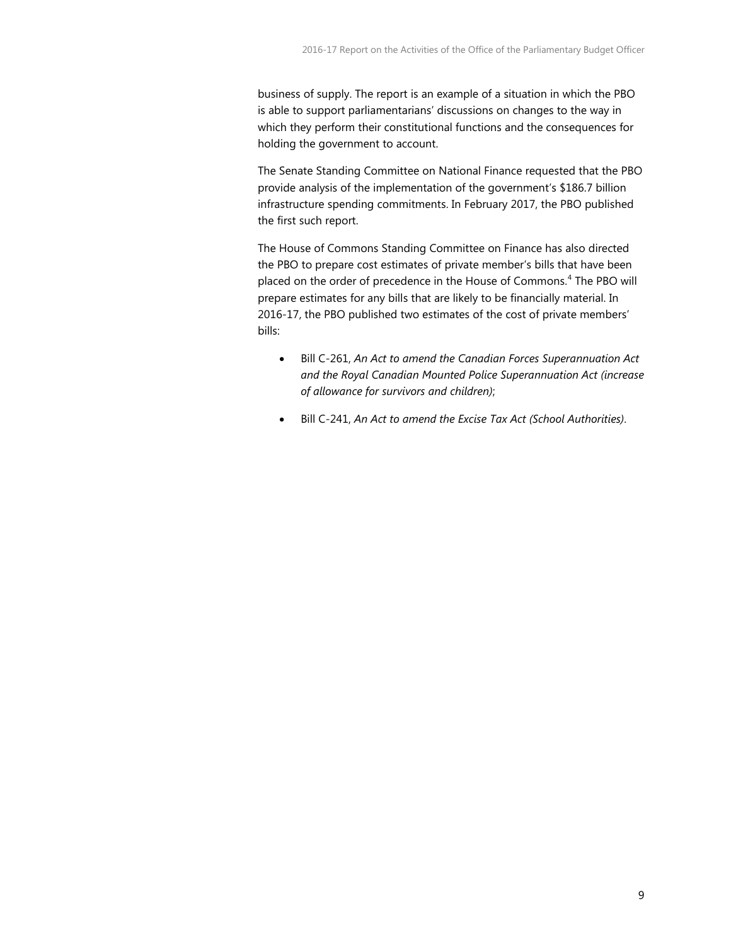business of supply. The report is an example of a situation in which the PBO is able to support parliamentarians' discussions on changes to the way in which they perform their constitutional functions and the consequences for holding the government to account.

The Senate Standing Committee on National Finance requested that the PBO provide analysis of the implementation of the government's \$186.7 billion infrastructure spending commitments. In February 2017, the PBO published the first such report.

The House of Commons Standing Committee on Finance has also directed the PBO to prepare cost estimates of private member's bills that have been placed on the order of precedence in the House of Commons.<sup>[4](#page-4-1)</sup> The PBO will prepare estimates for any bills that are likely to be financially material. In 2016-17, the PBO published two estimates of the cost of private members' bills:

- Bill C-261, *An Act to amend the Canadian Forces Superannuation Act and the Royal Canadian Mounted Police Superannuation Act (increase of allowance for survivors and children)*;
- <span id="page-8-5"></span><span id="page-8-4"></span><span id="page-8-3"></span><span id="page-8-2"></span><span id="page-8-1"></span><span id="page-8-0"></span>• Bill C-241, *An Act to amend the Excise Tax Act (School Authorities)*.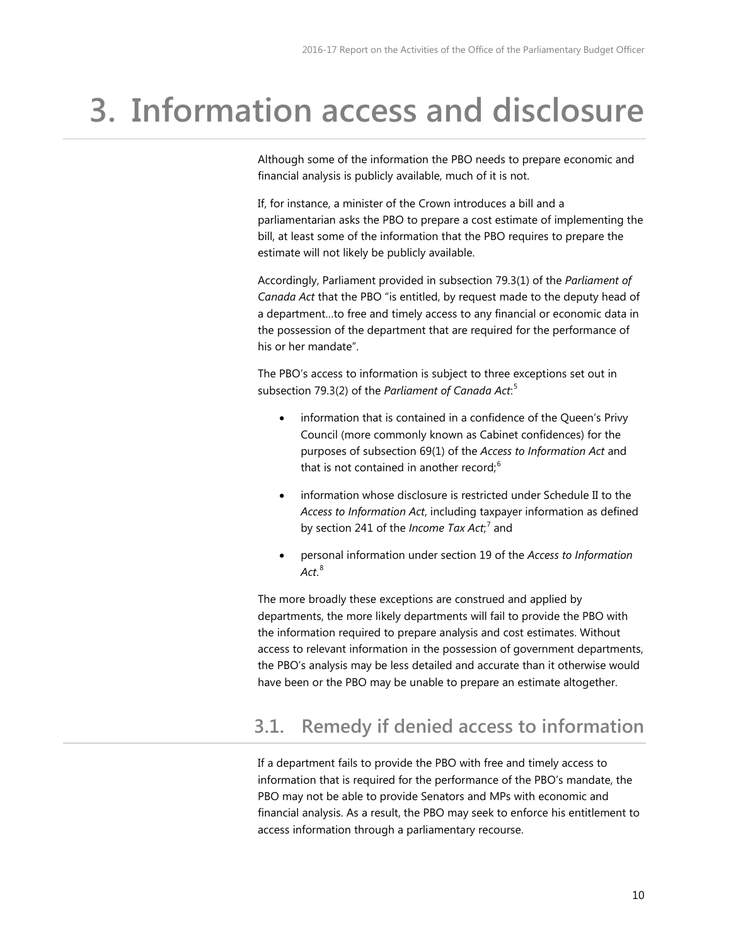### <span id="page-9-2"></span><span id="page-9-0"></span>**3. Information access and disclosure**

Although some of the information the PBO needs to prepare economic and financial analysis is publicly available, much of it is not.

If, for instance, a minister of the Crown introduces a bill and a parliamentarian asks the PBO to prepare a cost estimate of implementing the bill, at least some of the information that the PBO requires to prepare the estimate will not likely be publicly available.

Accordingly, Parliament provided in subsection 79.3(1) of the *Parliament of Canada Act* that the PBO "is entitled, by request made to the deputy head of a department…to free and timely access to any financial or economic data in the possession of the department that are required for the performance of his or her mandate".

The PBO's access to information is subject to three exceptions set out in subsection 79.3(2) of the *Parliament of Canada Act*: [5](#page-4-2)

- information that is contained in a confidence of the Queen's Privy Council (more commonly known as Cabinet confidences) for the purposes of subsection 69(1) of the *Access to Information Act* and that is not contained in another record;<sup>[6](#page-4-3)</sup>
- information whose disclosure is restricted under Schedule II to the *Access to Information Act*, including taxpayer information as defined by section 241 of the *Income Tax Act*; [7](#page-4-4) and
- personal information under section 19 of the *Access to Information Act*. [8](#page-4-5)

The more broadly these exceptions are construed and applied by departments, the more likely departments will fail to provide the PBO with the information required to prepare analysis and cost estimates. Without access to relevant information in the possession of government departments, the PBO's analysis may be less detailed and accurate than it otherwise would have been or the PBO may be unable to prepare an estimate altogether.

#### <span id="page-9-1"></span>**3.1. Remedy if denied access to information**

If a department fails to provide the PBO with free and timely access to information that is required for the performance of the PBO's mandate, the PBO may not be able to provide Senators and MPs with economic and financial analysis. As a result, the PBO may seek to enforce his entitlement to access information through a parliamentary recourse.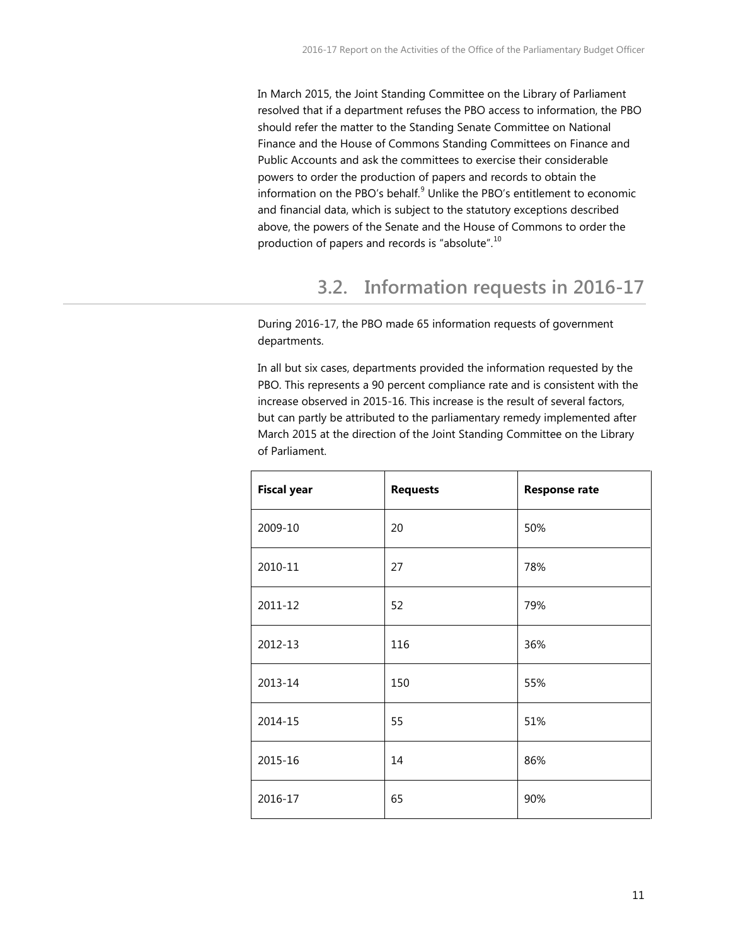In March 2015, the Joint Standing Committee on the Library of Parliament resolved that if a department refuses the PBO access to information, the PBO should refer the matter to the Standing Senate Committee on National Finance and the House of Commons Standing Committees on Finance and Public Accounts and ask the committees to exercise their considerable powers to order the production of papers and records to obtain the information on the PBO's behalf.<sup>[9](#page-5-2)</sup> Unlike the PBO's entitlement to economic and financial data, which is subject to the statutory exceptions described above, the powers of the Senate and the House of Commons to order the production of papers and records is "absolute".<sup>[10](#page-5-3)</sup>

#### **3.2. Information requests in 2016-17**

<span id="page-10-0"></span>During 2016-17, the PBO made 65 information requests of government departments.

In all but six cases, departments provided the information requested by the PBO. This represents a 90 percent compliance rate and is consistent with the increase observed in 2015-16. This increase is the result of several factors, but can partly be attributed to the parliamentary remedy implemented after March 2015 at the direction of the Joint Standing Committee on the Library of Parliament.

| <b>Fiscal year</b> | <b>Requests</b> | <b>Response rate</b> |
|--------------------|-----------------|----------------------|
| 2009-10            | 20              | 50%                  |
| 2010-11            | 27              | 78%                  |
| 2011-12            | 52              | 79%                  |
| 2012-13            | 116             | 36%                  |
| 2013-14            | 150             | 55%                  |
| 2014-15            | 55              | 51%                  |
| 2015-16            | 14              | 86%                  |
| 2016-17            | 65              | 90%                  |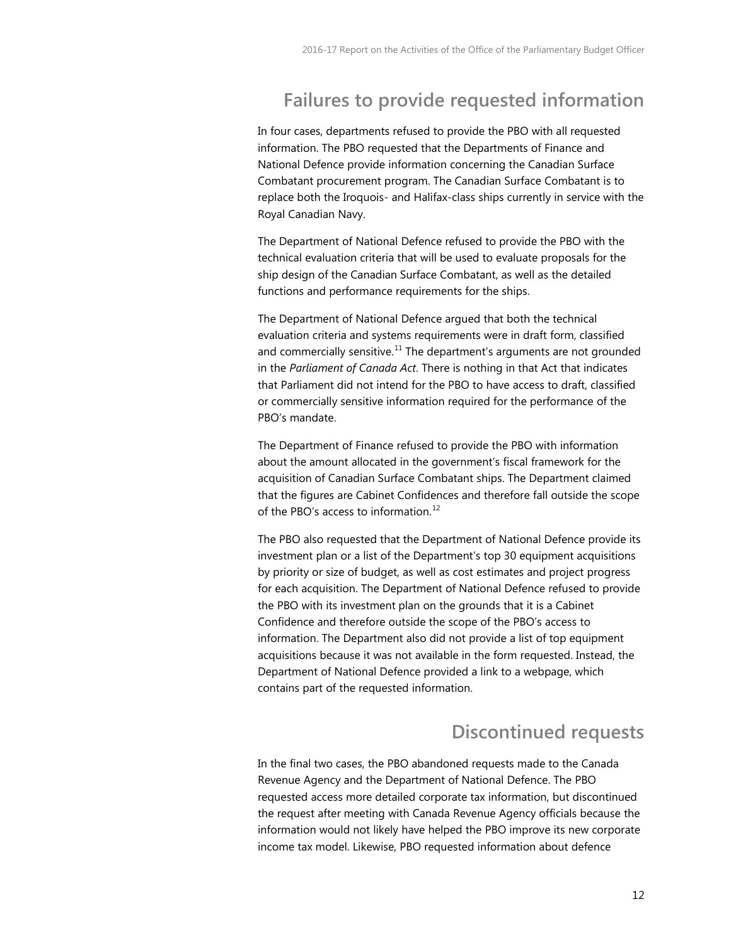#### **Failures to provide requested information**

In four cases, departments refused to provide the PBO with all requested information. The PBO requested that the Departments of Finance and National Defence provide information concerning the Canadian Surface Combatant procurement program. The Canadian Surface Combatant is to replace both the Iroquois- and Halifax-class ships currently in service with the Royal Canadian Navy.

The Department of National Defence refused to provide the PBO with the technical evaluation criteria that will be used to evaluate proposals for the ship design of the Canadian Surface Combatant, as well as the detailed functions and performance requirements for the ships.

The Department of National Defence argued that both the technical evaluation criteria and systems requirements were in draft form, classified and commercially sensitive.<sup>[11](#page-5-4)</sup> The department's arguments are not grounded in the *Parliament of Canada Act*. There is nothing in that Act that indicates that Parliament did not intend for the PBO to have access to draft, classified or commercially sensitive information required for the performance of the PBO's mandate.

The Department of Finance refused to provide the PBO with information about the amount allocated in the government's fiscal framework for the acquisition of Canadian Surface Combatant ships. The Department claimed that the figures are Cabinet Confidences and therefore fall outside the scope of the PBO's access to information.<sup>[12](#page-5-5)</sup>

The PBO also requested that the Department of National Defence provide its investment plan or a list of the Department's top 30 equipment acquisitions by priority or size of budget, as well as cost estimates and project progress for each acquisition. The Department of National Defence refused to provide the PBO with its investment plan on the grounds that it is a Cabinet Confidence and therefore outside the scope of the PBO's access to information. The Department also did not provide a list of top equipment acquisitions because it was not available in the form requested. Instead, the Department of National Defence provided a link to a webpage, which contains part of the requested information.

#### **Discontinued requests**

In the final two cases, the PBO abandoned requests made to the Canada Revenue Agency and the Department of National Defence. The PBO requested access more detailed corporate tax information, but discontinued the request after meeting with Canada Revenue Agency officials because the information would not likely have helped the PBO improve its new corporate income tax model. Likewise, PBO requested information about defence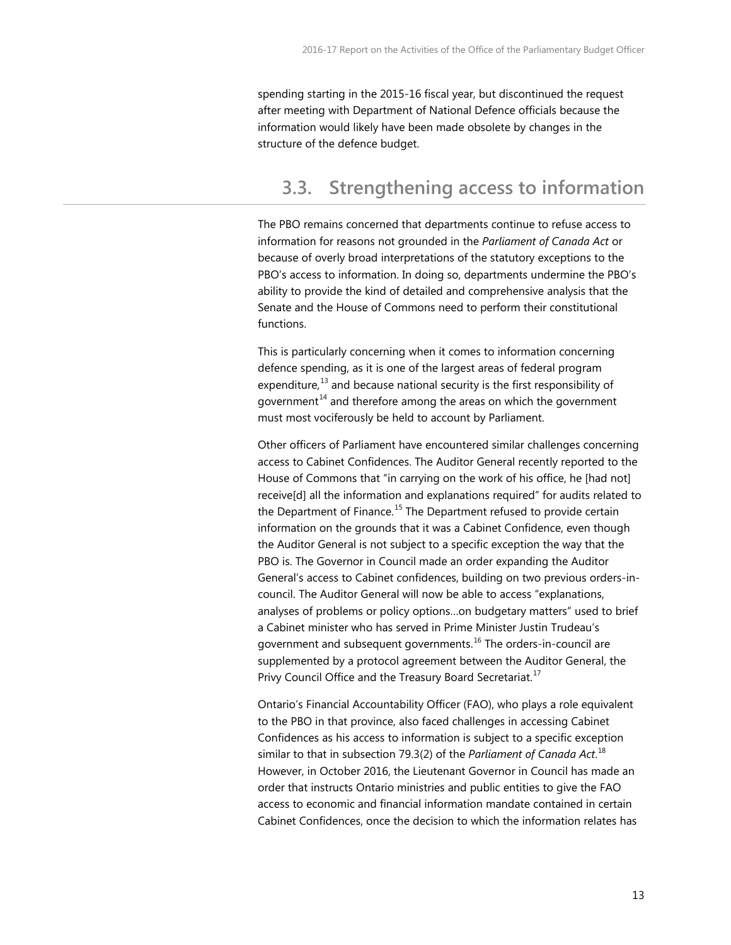spending starting in the 2015-16 fiscal year, but discontinued the request after meeting with Department of National Defence officials because the information would likely have been made obsolete by changes in the structure of the defence budget.

#### <span id="page-12-0"></span>**3.3. Strengthening access to information**

The PBO remains concerned that departments continue to refuse access to information for reasons not grounded in the *Parliament of Canada Act* or because of overly broad interpretations of the statutory exceptions to the PBO's access to information. In doing so, departments undermine the PBO's ability to provide the kind of detailed and comprehensive analysis that the Senate and the House of Commons need to perform their constitutional functions.

This is particularly concerning when it comes to information concerning defence spending, as it is one of the largest areas of federal program expenditure, $13$  and because national security is the first responsibility of government $14$  and therefore among the areas on which the government must most vociferously be held to account by Parliament.

Other officers of Parliament have encountered similar challenges concerning access to Cabinet Confidences. The Auditor General recently reported to the House of Commons that "in carrying on the work of his office, he [had not] receive[d] all the information and explanations required" for audits related to the Department of Finance.<sup>[15](#page-6-3)</sup> The Department refused to provide certain information on the grounds that it was a Cabinet Confidence, even though the Auditor General is not subject to a specific exception the way that the PBO is. The Governor in Council made an order expanding the Auditor General's access to Cabinet confidences, building on two previous orders-incouncil. The Auditor General will now be able to access "explanations, analyses of problems or policy options…on budgetary matters" used to brief a Cabinet minister who has served in Prime Minister Justin Trudeau's government and subsequent governments.<sup>[16](#page-6-4)</sup> The orders-in-council are supplemented by a protocol agreement between the Auditor General, the Privy Council Office and the Treasury Board Secretariat.<sup>[17](#page-6-5)</sup>

Ontario's Financial Accountability Officer (FAO), who plays a role equivalent to the PBO in that province, also faced challenges in accessing Cabinet Confidences as his access to information is subject to a specific exception similar to that in subsection 79.3(2) of the *Parliament of Canada Act*. [18](#page-6-6) However, in October 2016, the Lieutenant Governor in Council has made an order that instructs Ontario ministries and public entities to give the FAO access to economic and financial information mandate contained in certain Cabinet Confidences, once the decision to which the information relates has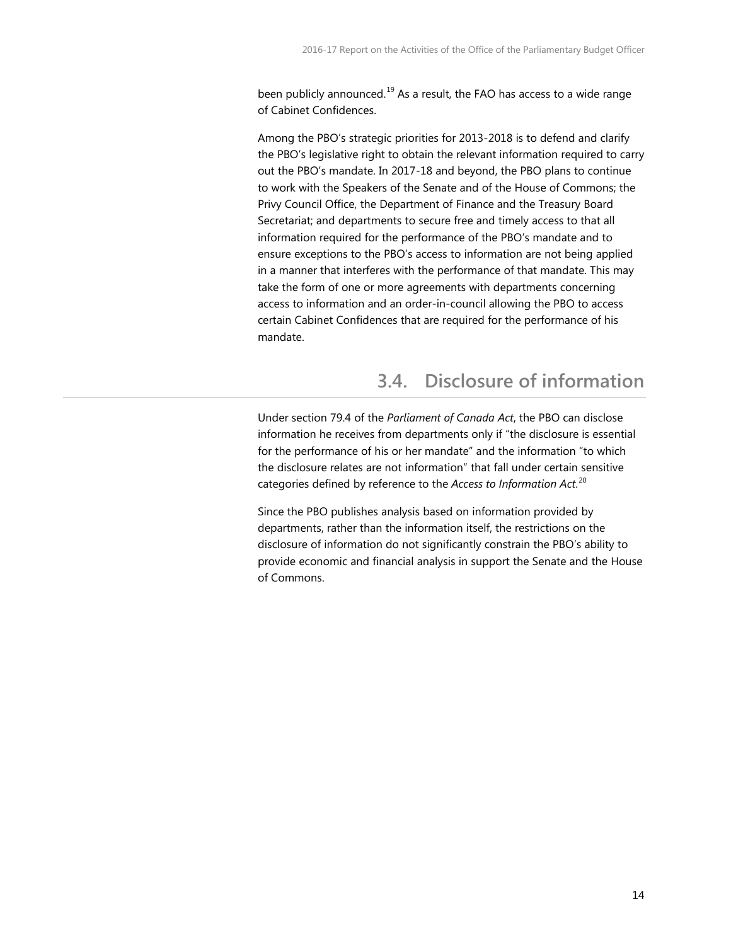been publicly announced.<sup>[19](#page-7-0)</sup> As a result, the FAO has access to a wide range of Cabinet Confidences.

Among the PBO's strategic priorities for 2013-2018 is to defend and clarify the PBO's legislative right to obtain the relevant information required to carry out the PBO's mandate. In 2017-18 and beyond, the PBO plans to continue to work with the Speakers of the Senate and of the House of Commons; the Privy Council Office, the Department of Finance and the Treasury Board Secretariat; and departments to secure free and timely access to that all information required for the performance of the PBO's mandate and to ensure exceptions to the PBO's access to information are not being applied in a manner that interferes with the performance of that mandate. This may take the form of one or more agreements with departments concerning access to information and an order-in-council allowing the PBO to access certain Cabinet Confidences that are required for the performance of his mandate.

#### **3.4. Disclosure of information**

<span id="page-13-0"></span>Under section 79.4 of the *Parliament of Canada Act*, the PBO can disclose information he receives from departments only if "the disclosure is essential for the performance of his or her mandate" and the information "to which the disclosure relates are not information" that fall under certain sensitive categories defined by reference to the *Access to Information Act*. [20](#page-7-1)

Since the PBO publishes analysis based on information provided by departments, rather than the information itself, the restrictions on the disclosure of information do not significantly constrain the PBO's ability to provide economic and financial analysis in support the Senate and the House of Commons.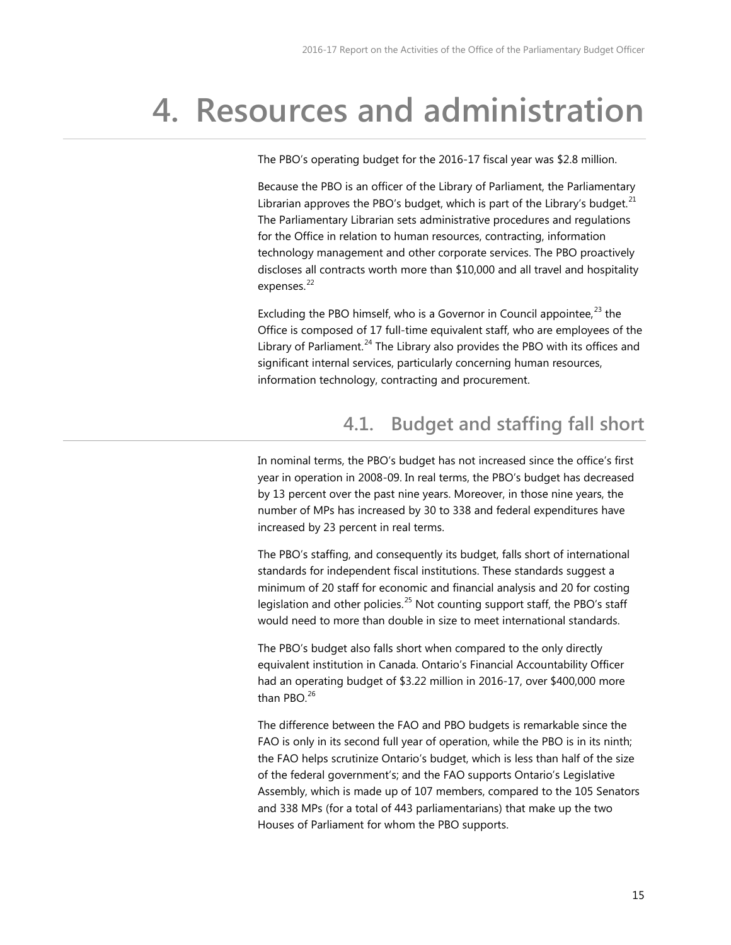### <span id="page-14-0"></span>**4. Resources and administration**

The PBO's operating budget for the 2016-17 fiscal year was \$2.8 million.

Because the PBO is an officer of the Library of Parliament, the Parliamentary Librarian approves the PBO's budget, which is part of the Library's budget. $^{21}$  $^{21}$  $^{21}$ The Parliamentary Librarian sets administrative procedures and regulations for the Office in relation to human resources, contracting, information technology management and other corporate services. The PBO proactively discloses all contracts worth more than \$10,000 and all travel and hospitality expenses.<sup>[22](#page-8-1)</sup>

Excluding the PBO himself, who is a Governor in Council appointee,  $^{23}$  $^{23}$  $^{23}$  the Office is composed of 17 full-time equivalent staff, who are employees of the Library of Parliament.<sup>[24](#page-8-3)</sup> The Library also provides the PBO with its offices and significant internal services, particularly concerning human resources, information technology, contracting and procurement.

#### **4.1. Budget and staffing fall short**

<span id="page-14-1"></span>In nominal terms, the PBO's budget has not increased since the office's first year in operation in 2008-09. In real terms, the PBO's budget has decreased by 13 percent over the past nine years. Moreover, in those nine years, the number of MPs has increased by 30 to 338 and federal expenditures have increased by 23 percent in real terms.

The PBO's staffing, and consequently its budget, falls short of international standards for independent fiscal institutions. These standards suggest a minimum of 20 staff for economic and financial analysis and 20 for costing legislation and other policies.<sup>[25](#page-8-4)</sup> Not counting support staff, the PBO's staff would need to more than double in size to meet international standards.

The PBO's budget also falls short when compared to the only directly equivalent institution in Canada. Ontario's Financial Accountability Officer had an operating budget of \$3.22 million in 2016-17, over \$400,000 more than PBO $^{26}$  $^{26}$  $^{26}$ 

The difference between the FAO and PBO budgets is remarkable since the FAO is only in its second full year of operation, while the PBO is in its ninth; the FAO helps scrutinize Ontario's budget, which is less than half of the size of the federal government's; and the FAO supports Ontario's Legislative Assembly, which is made up of 107 members, compared to the 105 Senators and 338 MPs (for a total of 443 parliamentarians) that make up the two Houses of Parliament for whom the PBO supports.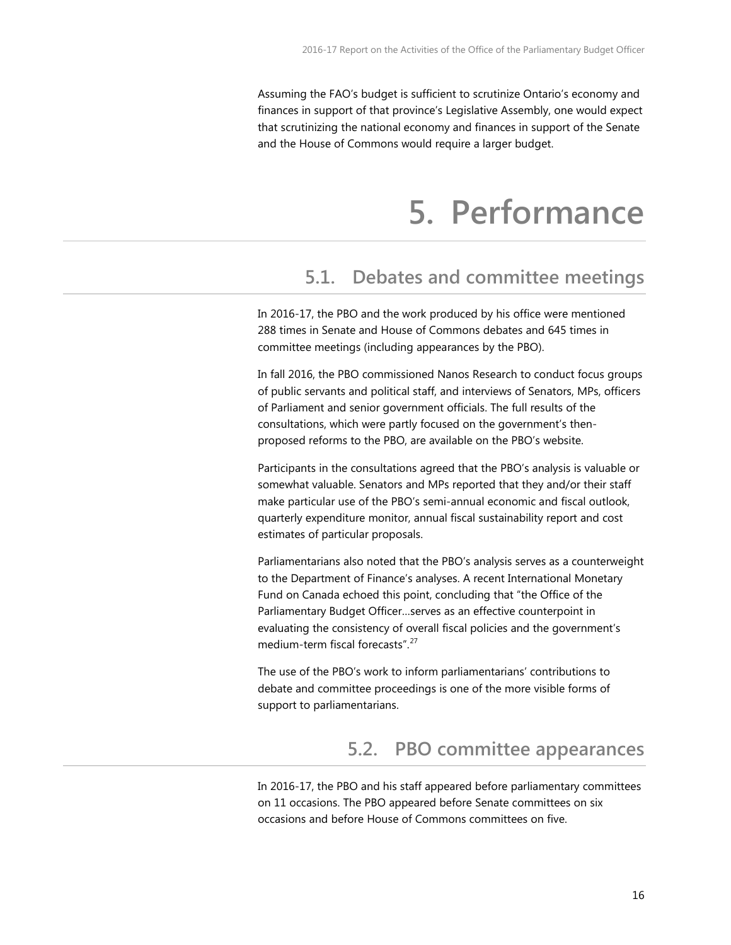<span id="page-15-0"></span>Assuming the FAO's budget is sufficient to scrutinize Ontario's economy and finances in support of that province's Legislative Assembly, one would expect that scrutinizing the national economy and finances in support of the Senate and the House of Commons would require a larger budget.

### **5. Performance**

#### <span id="page-15-1"></span>**5.1. Debates and committee meetings**

In 2016-17, the PBO and the work produced by his office were mentioned 288 times in Senate and House of Commons debates and 645 times in committee meetings (including appearances by the PBO).

In fall 2016, the PBO commissioned Nanos Research to conduct focus groups of public servants and political staff, and interviews of Senators, MPs, officers of Parliament and senior government officials. The full results of the consultations, which were partly focused on the government's thenproposed reforms to the PBO, are available on the PBO's website.

Participants in the consultations agreed that the PBO's analysis is valuable or somewhat valuable. Senators and MPs reported that they and/or their staff make particular use of the PBO's semi-annual economic and fiscal outlook, quarterly expenditure monitor, annual fiscal sustainability report and cost estimates of particular proposals.

Parliamentarians also noted that the PBO's analysis serves as a counterweight to the Department of Finance's analyses. A recent International Monetary Fund on Canada echoed this point, concluding that "the Office of the Parliamentary Budget Officer…serves as an effective counterpoint in evaluating the consistency of overall fiscal policies and the government's medium-term fiscal forecasts".[27](#page-9-2)

The use of the PBO's work to inform parliamentarians' contributions to debate and committee proceedings is one of the more visible forms of support to parliamentarians.

#### **5.2. PBO committee appearances**

<span id="page-15-2"></span>In 2016-17, the PBO and his staff appeared before parliamentary committees on 11 occasions. The PBO appeared before Senate committees on six occasions and before House of Commons committees on five.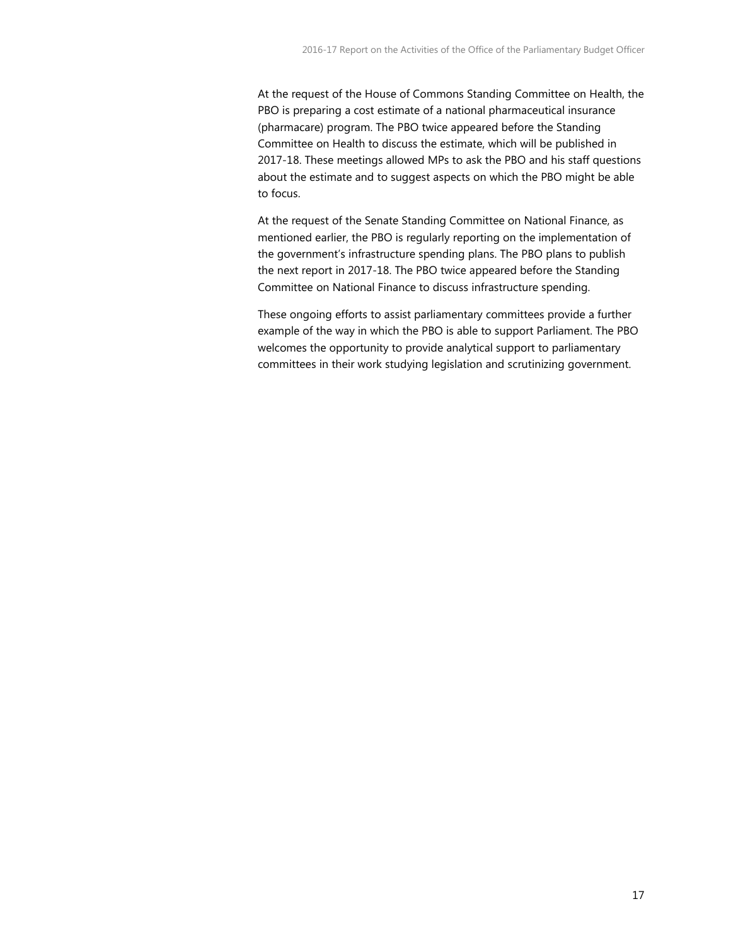At the request of the House of Commons Standing Committee on Health, the PBO is preparing a cost estimate of a national pharmaceutical insurance (pharmacare) program. The PBO twice appeared before the Standing Committee on Health to discuss the estimate, which will be published in 2017-18. These meetings allowed MPs to ask the PBO and his staff questions about the estimate and to suggest aspects on which the PBO might be able to focus.

At the request of the Senate Standing Committee on National Finance, as mentioned earlier, the PBO is regularly reporting on the implementation of the government's infrastructure spending plans. The PBO plans to publish the next report in 2017-18. The PBO twice appeared before the Standing Committee on National Finance to discuss infrastructure spending.

These ongoing efforts to assist parliamentary committees provide a further example of the way in which the PBO is able to support Parliament. The PBO welcomes the opportunity to provide analytical support to parliamentary committees in their work studying legislation and scrutinizing government.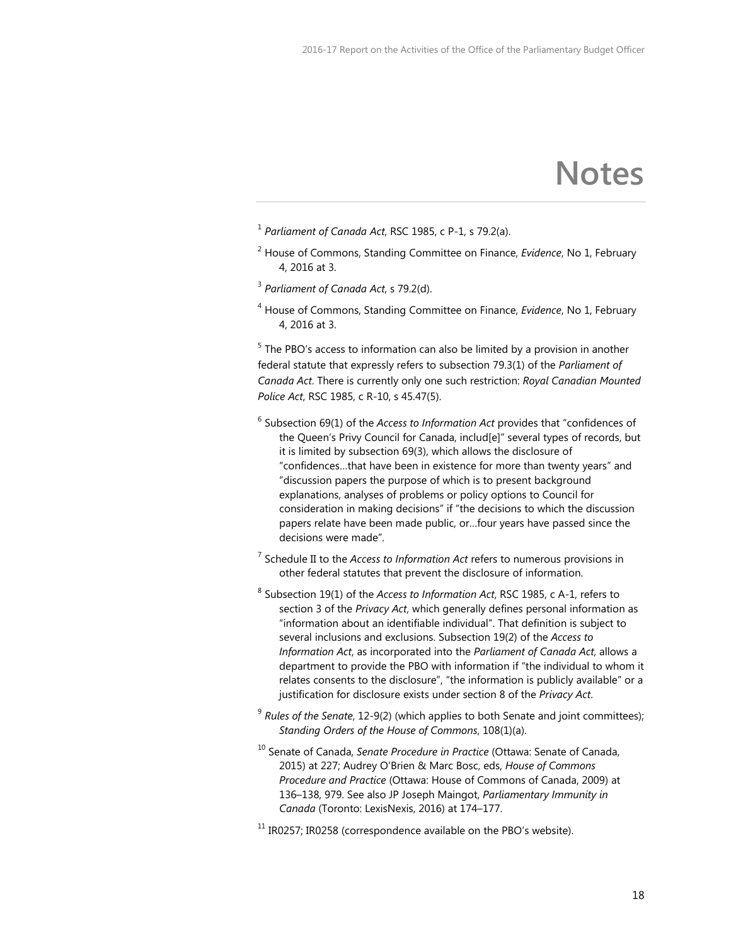### **Notes**

- <sup>1</sup> *Parliament of Canada Act*, RSC 1985, c P-1, s 79.2(a).
- <sup>2</sup> House of Commons, Standing Committee on Finance, *Evidence*, No 1, February 4, 2016 at 3.
- <sup>3</sup> *Parliament of Canada Act*, s 79.2(d).
- <sup>4</sup> House of Commons, Standing Committee on Finance, *Evidence*, No 1, February 4, 2016 at 3.

 $5$  The PBO's access to information can also be limited by a provision in another federal statute that expressly refers to subsection 79.3(1) of the *Parliament of Canada Act*. There is currently only one such restriction: *Royal Canadian Mounted Police Act*, RSC 1985, c R-10, s 45.47(5).

- <sup>6</sup> Subsection 69(1) of the *Access to Information Act* provides that "confidences of the Queen's Privy Council for Canada, includ[e]" several types of records, but it is limited by subsection 69(3), which allows the disclosure of "confidences…that have been in existence for more than twenty years" and "discussion papers the purpose of which is to present background explanations, analyses of problems or policy options to Council for consideration in making decisions" if "the decisions to which the discussion papers relate have been made public, or…four years have passed since the decisions were made".
- <sup>7</sup> Schedule II to the *Access to Information Act* refers to numerous provisions in other federal statutes that prevent the disclosure of information.
- <sup>8</sup> Subsection 19(1) of the *Access to Information Act*, RSC 1985, c A-1, refers to section 3 of the *Privacy Act*, which generally defines personal information as "information about an identifiable individual". That definition is subject to several inclusions and exclusions. Subsection 19(2) of the *Access to Information Act*, as incorporated into the *Parliament of Canada Act*, allows a department to provide the PBO with information if "the individual to whom it relates consents to the disclosure", "the information is publicly available" or a justification for disclosure exists under section 8 of the *Privacy Act*.
- <sup>9</sup> *Rules of the Senate*, 12-9(2) (which applies to both Senate and joint committees); *Standing Orders of the House of Commons*, 108(1)(a).
- <sup>10</sup> Senate of Canada, *Senate Procedure in Practice* (Ottawa: Senate of Canada, 2015) at 227; Audrey O'Brien & Marc Bosc, eds, *House of Commons Procedure and Practice* (Ottawa: House of Commons of Canada, 2009) at 136–138, 979. See also JP Joseph Maingot, *Parliamentary Immunity in Canada* (Toronto: LexisNexis, 2016) at 174–177.
- $11$  IR0257; IR0258 (correspondence available on the PBO's website).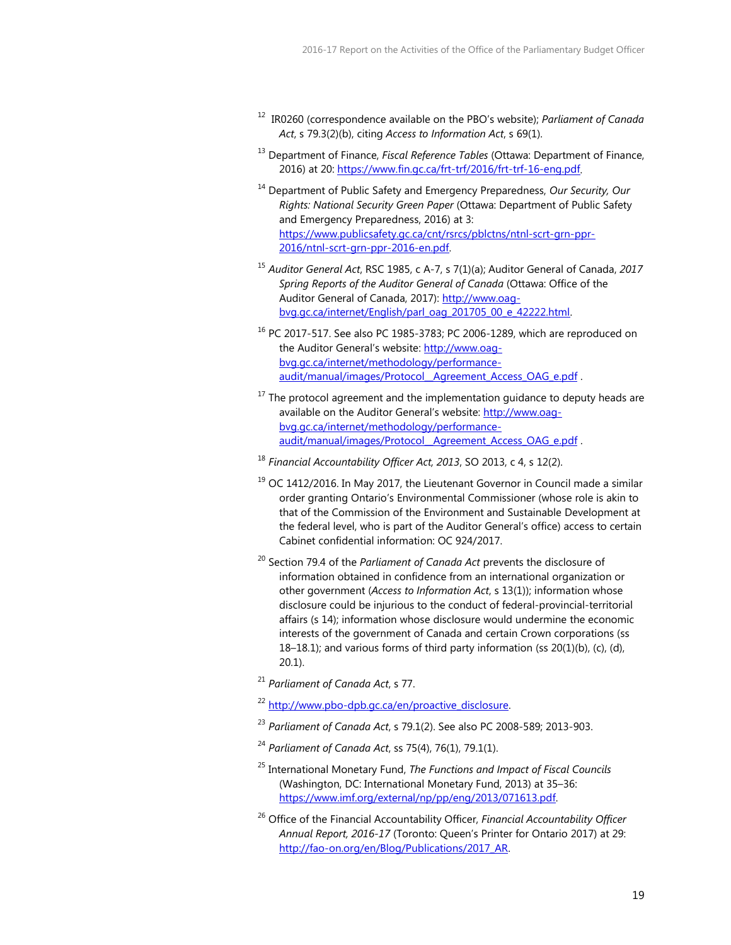- <sup>12</sup> IR0260 (correspondence available on the PBO's website); *Parliament of Canada Act*, s 79.3(2)(b), citing *Access to Information Act*, s 69(1).
- <sup>13</sup> Department of Finance, *Fiscal Reference Tables* (Ottawa: Department of Finance, 2016) at 20: [https://www.fin.gc.ca/frt-trf/2016/frt-trf-16-eng.pdf.](https://www.fin.gc.ca/frt-trf/2016/frt-trf-16-eng.pdf)
- <sup>14</sup> Department of Public Safety and Emergency Preparedness, *Our Security, Our Rights: National Security Green Paper* (Ottawa: Department of Public Safety and Emergency Preparedness, 2016) at 3: [https://www.publicsafety.gc.ca/cnt/rsrcs/pblctns/ntnl-scrt-grn-ppr-](https://www.publicsafety.gc.ca/cnt/rsrcs/pblctns/ntnl-scrt-grn-ppr-2016/ntnl-scrt-grn-ppr-2016-en.pdf)[2016/ntnl-scrt-grn-ppr-2016-en.pdf.](https://www.publicsafety.gc.ca/cnt/rsrcs/pblctns/ntnl-scrt-grn-ppr-2016/ntnl-scrt-grn-ppr-2016-en.pdf)
- <sup>15</sup> *Auditor General Act*, RSC 1985, c A-7, s 7(1)(a); Auditor General of Canada, *2017 Spring Reports of the Auditor General of Canada* (Ottawa: Office of the Auditor General of Canada, 2017)[: http://www.oag](http://www.oag-bvg.gc.ca/internet/English/parl_oag_201705_00_e_42222.html)[bvg.gc.ca/internet/English/parl\\_oag\\_201705\\_00\\_e\\_42222.html.](http://www.oag-bvg.gc.ca/internet/English/parl_oag_201705_00_e_42222.html)
- $16$  PC 2017-517. See also PC 1985-3783; PC 2006-1289, which are reproduced on the Auditor General's website: [http://www.oag](http://www.oag-bvg.gc.ca/internet/methodology/performance-audit/manual/images/Protocol__Agreement_Access_OAG_e.pdf)[bvg.gc.ca/internet/methodology/performance](http://www.oag-bvg.gc.ca/internet/methodology/performance-audit/manual/images/Protocol__Agreement_Access_OAG_e.pdf)audit/manual/images/Protocol Agreement Access OAG e.pdf .
- $17$  The protocol agreement and the implementation guidance to deputy heads are available on the Auditor General's website: [http://www.oag](http://www.oag-bvg.gc.ca/internet/methodology/performance-audit/manual/images/Protocol__Agreement_Access_OAG_e.pdf)[bvg.gc.ca/internet/methodology/performance](http://www.oag-bvg.gc.ca/internet/methodology/performance-audit/manual/images/Protocol__Agreement_Access_OAG_e.pdf)audit/manual/images/Protocol Agreement Access OAG e.pdf.
- <sup>18</sup> *Financial Accountability Officer Act, 2013*, SO 2013, c 4, s 12(2).
- $19$  OC 1412/2016. In May 2017, the Lieutenant Governor in Council made a similar order granting Ontario's Environmental Commissioner (whose role is akin to that of the Commission of the Environment and Sustainable Development at the federal level, who is part of the Auditor General's office) access to certain Cabinet confidential information: OC 924/2017.
- <sup>20</sup> Section 79.4 of the *Parliament of Canada Act* prevents the disclosure of information obtained in confidence from an international organization or other government (*Access to Information Act*, s 13(1)); information whose disclosure could be injurious to the conduct of federal-provincial-territorial affairs (s 14); information whose disclosure would undermine the economic interests of the government of Canada and certain Crown corporations (ss 18–18.1); and various forms of third party information (ss 20(1)(b), (c), (d), 20.1).
- <sup>21</sup> *Parliament of Canada Act*, s 77.
- <sup>22</sup> [http://www.pbo-dpb.gc.ca/en/proactive\\_disclosure.](http://www.pbo-dpb.gc.ca/en/proactive_disclosure)
- <sup>23</sup> *Parliament of Canada Act*, s 79.1(2). See also PC 2008-589; 2013-903.
- <sup>24</sup> *Parliament of Canada Act*, ss 75(4), 76(1), 79.1(1).
- <sup>25</sup> International Monetary Fund, *The Functions and Impact of Fiscal Councils* (Washington, DC: International Monetary Fund, 2013) at 35–36: [https://www.imf.org/external/np/pp/eng/2013/071613.pdf.](https://www.imf.org/external/np/pp/eng/2013/071613.pdf)
- <sup>26</sup> Office of the Financial Accountability Officer, *Financial Accountability Officer Annual Report, 2016-17* (Toronto: Queen's Printer for Ontario 2017) at 29: [http://fao-on.org/en/Blog/Publications/2017\\_AR.](http://fao-on.org/en/Blog/Publications/2017_AR)